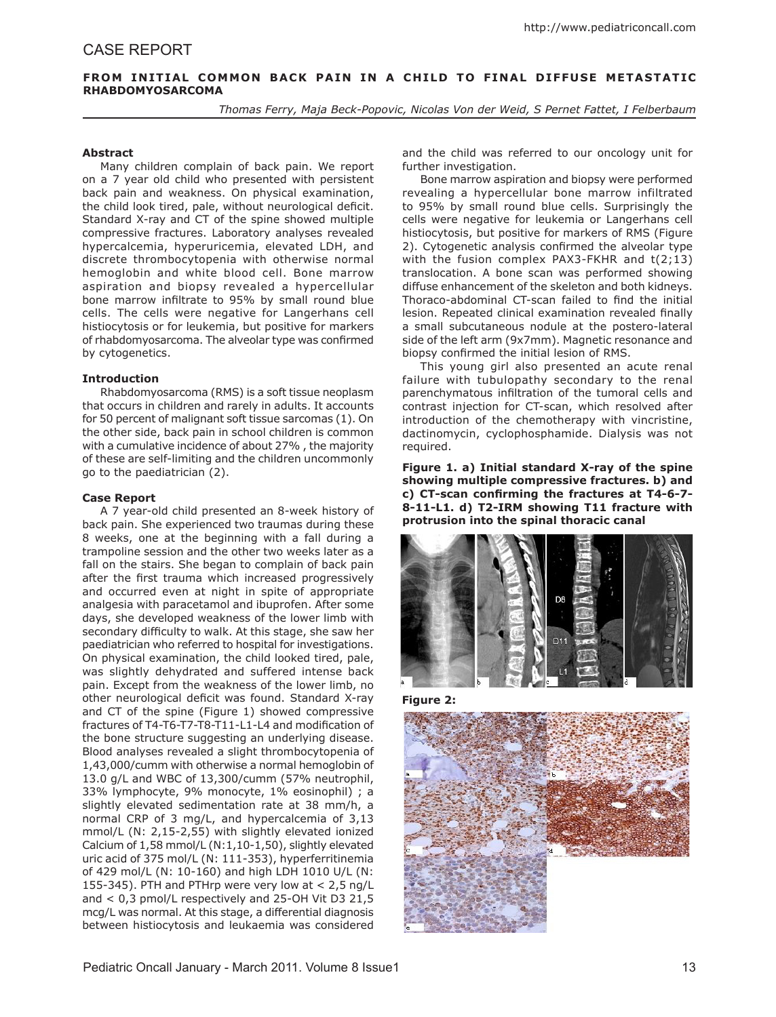# FROM INITIAL COMMON BACK PAIN IN A CHILD TO FINAL DIFFUSE METASTATIC **RHABDOMYOSARCOMA**

*Thomas Ferry, Maja Beck-Popovic, Nicolas Von der Weid, S Pernet Fattet, I Felberbaum* 

## **Abstract**

Many children complain of back pain. We report on a 7 year old child who presented with persistent back pain and weakness. On physical examination, the child look tired, pale, without neurological deficit. Standard X-ray and CT of the spine showed multiple compressive fractures. Laboratory analyses revealed hypercalcemia, hyperuricemia, elevated LDH, and discrete thrombocytopenia with otherwise normal hemoglobin and white blood cell. Bone marrow aspiration and biopsy revealed a hypercellular bone marrow infiltrate to 95% by small round blue cells. The cells were negative for Langerhans cell histiocytosis or for leukemia, but positive for markers of rhabdomyosarcoma. The alveolar type was confirmed by cytogenetics.

### **Introduction**

Rhabdomyosarcoma (RMS) is a soft tissue neoplasm that occurs in children and rarely in adults. It accounts for 50 percent of malignant soft tissue sarcomas (1). On the other side, back pain in school children is common with a cumulative incidence of about 27% , the majority of these are self-limiting and the children uncommonly go to the paediatrician (2).

### **Case Report**

A 7 year-old child presented an 8-week history of back pain. She experienced two traumas during these 8 weeks, one at the beginning with a fall during a trampoline session and the other two weeks later as a fall on the stairs. She began to complain of back pain after the first trauma which increased progressively and occurred even at night in spite of appropriate analgesia with paracetamol and ibuprofen. After some days, she developed weakness of the lower limb with secondary difficulty to walk. At this stage, she saw her paediatrician who referred to hospital for investigations. On physical examination, the child looked tired, pale, was slightly dehydrated and suffered intense back pain. Except from the weakness of the lower limb, no other neurological deficit was found. Standard X-ray and CT of the spine (Figure 1) showed compressive fractures of T4-T6-T7-T8-T11-L1-L4 and modification of the bone structure suggesting an underlying disease. Blood analyses revealed a slight thrombocytopenia of 1,43,000/cumm with otherwise a normal hemoglobin of 13.0 g/L and WBC of 13,300/cumm (57% neutrophil, 33% lymphocyte, 9% monocyte, 1% eosinophil) ; a slightly elevated sedimentation rate at 38 mm/h, a normal CRP of 3 mg/L, and hypercalcemia of 3,13 mmol/L (N: 2,15-2,55) with slightly elevated ionized Calcium of 1,58 mmol/L (N:1,10-1,50), slightly elevated uric acid of 375 mol/L (N: 111-353), hyperferritinemia of 429 mol/L (N: 10-160) and high LDH 1010 U/L (N: 155-345). PTH and PTHrp were very low at  $< 2.5$  ng/L and < 0,3 pmol/L respectively and 25-OH Vit D3 21,5 mcg/L was normal. At this stage, a differential diagnosis between histiocytosis and leukaemia was considered

and the child was referred to our oncology unit for further investigation.

Bone marrow aspiration and biopsy were performed revealing a hypercellular bone marrow infiltrated to 95% by small round blue cells. Surprisingly the cells were negative for leukemia or Langerhans cell histiocytosis, but positive for markers of RMS (Figure 2). Cytogenetic analysis confirmed the alveolar type with the fusion complex PAX3-FKHR and t(2;13) translocation. A bone scan was performed showing diffuse enhancement of the skeleton and both kidneys. Thoraco-abdominal CT-scan failed to find the initial lesion. Repeated clinical examination revealed finally a small subcutaneous nodule at the postero-lateral side of the left arm (9x7mm). Magnetic resonance and biopsy confirmed the initial lesion of RMS.

This young girl also presented an acute renal failure with tubulopathy secondary to the renal parenchymatous infiltration of the tumoral cells and contrast injection for CT-scan, which resolved after introduction of the chemotherapy with vincristine, dactinomycin, cyclophosphamide. Dialysis was not required.

**Figure 1. a) Initial standard X-ray of the spine showing multiple compressive fractures. b) and c) CT-scan confirming the fractures at T4-6-7- 8-11-L1. d) T2-IRM showing T11 fracture with protrusion into the spinal thoracic canal** 



**Figure 2:**

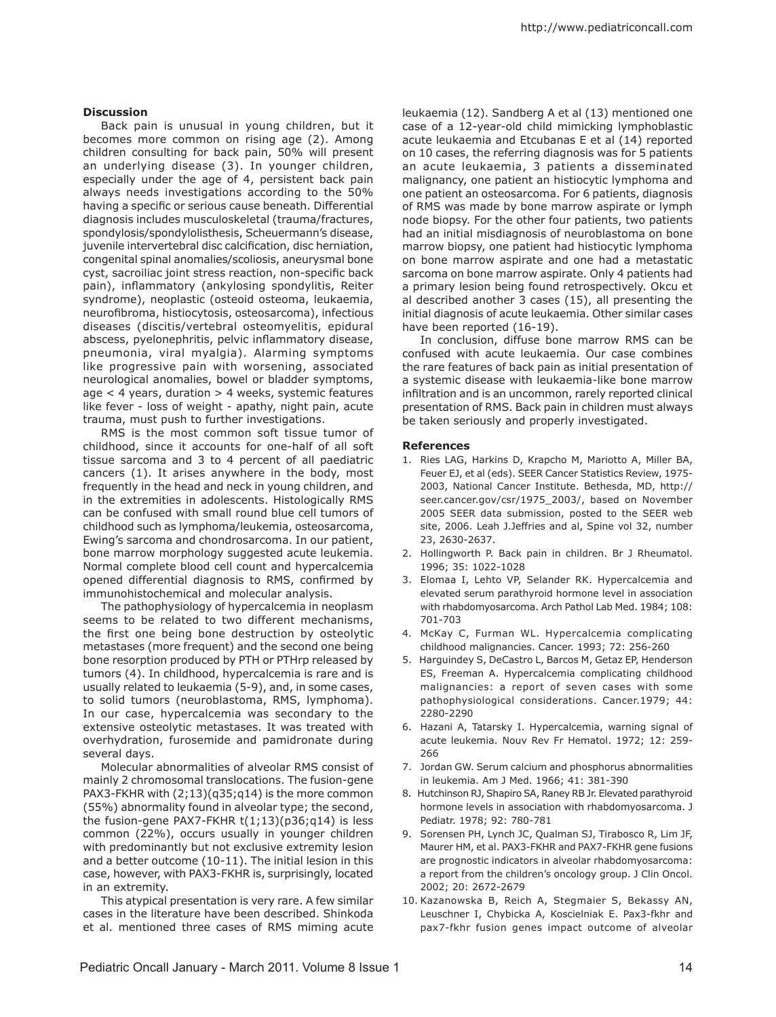### **Discussion**

Back pain is unusual in young children, but it becomes more common on rising age (2). Among children consulting for back pain, 50% will present an underlying disease (3). In younger children, especially under the age of 4, persistent back pain always needs investigations according to the 50% having a specific or serious cause beneath. Differential diagnosis includes musculoskeletal (trauma/fractures, spondylosis/spondylolisthesis, Scheuermann's disease, juvenile intervertebral disc calcification, disc herniation, congenital spinal anomalies/scoliosis, aneurysmal bone cyst, sacroiliac joint stress reaction, non-specific back pain), inflammatory (ankylosing spondylitis, Reiter syndrome), neoplastic (osteoid osteoma, leukaemia, neurofibroma, histiocytosis, osteosarcoma), infectious diseases (discitis/vertebral osteomyelitis, epidural abscess, pyelonephritis, pelvic inflammatory disease, pneumonia, viral myalgia). Alarming symptoms like progressive pain with worsening, associated neurological anomalies, bowel or bladder symptoms,  $age < 4$  years, duration  $> 4$  weeks, systemic features like fever - loss of weight - apathy, night pain, acute trauma, must push to further investigations.

RMS is the most common soft tissue tumor of childhood, since it accounts for one-half of all soft tissue sarcoma and 3 to 4 percent of all paediatric cancers (1). It arises anywhere in the body, most frequently in the head and neck in young children, and in the extremities in adolescents. Histologically RMS can be confused with small round blue cell tumors of childhood such as lymphoma/leukemia, osteosarcoma, Ewing's sarcoma and chondrosarcoma. In our patient, bone marrow morphology suggested acute leukemia. Normal complete blood cell count and hypercalcemia opened differential diagnosis to RMS, confirmed by immunohistochemical and molecular analysis.

The pathophysiology of hypercalcemia in neoplasm seems to be related to two different mechanisms, the first one being bone destruction by osteolytic metastases (more frequent) and the second one being bone resorption produced by PTH or PTHrp released by tumors (4). In childhood, hypercalcemia is rare and is usually related to leukaemia (5-9), and, in some cases, to solid tumors (neuroblastoma, RMS, lymphoma). In our case, hypercalcemia was secondary to the extensive osteolytic metastases. It was treated with overhydration, furosemide and pamidronate during several days.

Molecular abnormalities of alveolar RMS consist of mainly 2 chromosomal translocations. The fusion-gene PAX3-FKHR with (2;13)(q35;q14) is the more common (55%) abnormality found in alveolar type; the second, the fusion-gene PAX7-FKHR  $t(1;13)(p36;q14)$  is less common (22%), occurs usually in younger children with predominantly but not exclusive extremity lesion and a better outcome (10-11). The initial lesion in this case, however, with PAX3-FKHR is, surprisingly, located in an extremity.

This atypical presentation is very rare. A few similar cases in the literature have been described. Shinkoda et al. mentioned three cases of RMS miming acute

leukaemia (12). Sandberg A et al (13) mentioned one case of a 12-year-old child mimicking lymphoblastic acute leukaemia and Etcubanas E et al (14) reported on 10 cases, the referring diagnosis was for 5 patients an acute leukaemia, 3 patients a disseminated malignancy, one patient an histiocytic lymphoma and one patient an osteosarcoma. For 6 patients, diagnosis of RMS was made by bone marrow aspirate or lymph node biopsy. For the other four patients, two patients had an initial misdiagnosis of neuroblastoma on bone marrow biopsy, one patient had histiocytic lymphoma on bone marrow aspirate and one had a metastatic sarcoma on bone marrow aspirate. Only 4 patients had a primary lesion being found retrospectively. Okcu et al described another 3 cases (15), all presenting the initial diagnosis of acute leukaemia. Other similar cases have been reported (16-19).

In conclusion, diffuse bone marrow RMS can be confused with acute leukaemia. Our case combines the rare features of back pain as initial presentation of a systemic disease with leukaemia-like bone marrow infiltration and is an uncommon, rarely reported clinical presentation of RMS. Back pain in children must always be taken seriously and properly investigated.

#### **References**

- 1. Ries LAG, Harkins D, Krapcho M, Mariotto A, Miller BA, Feuer EJ, et al (eds). SEER Cancer Statistics Review, 1975- 2003, National Cancer Institute. Bethesda, MD, http:// seer.cancer.gov/csr/1975\_2003/, based on November 2005 SEER data submission, posted to the SEER web site, 2006. Leah J.Jeffries and al, Spine vol 32, number 23, 2630-2637.
- 2. Hollingworth P. Back pain in children. Br J Rheumatol. 1996; 35: 1022-1028
- 3. Elomaa I, Lehto VP, Selander RK. Hypercalcemia and elevated serum parathyroid hormone level in association with rhabdomyosarcoma. Arch Pathol Lab Med. 1984; 108: 701-703
- 4. McKay C, Furman WL. Hypercalcemia complicating childhood malignancies. Cancer. 1993; 72: 256-260
- 5. Harguindey S, DeCastro L, Barcos M, Getaz EP, Henderson ES, Freeman A. Hypercalcemia complicating childhood malignancies: a report of seven cases with some pathophysiological considerations. Cancer.1979; 44: 2280-2290
- 6. Hazani A, Tatarsky I. Hypercalcemia, warning signal of acute leukemia. Nouv Rev Fr Hematol. 1972; 12: 259- 266
- 7. Jordan GW. Serum calcium and phosphorus abnormalities in leukemia. Am J Med. 1966; 41: 381-390
- 8. Hutchinson RJ, Shapiro SA, Raney RB Jr. Elevated parathyroid hormone levels in association with rhabdomyosarcoma. J Pediatr. 1978; 92: 780-781
- 9. Sorensen PH, Lynch JC, Qualman SJ, Tirabosco R, Lim JF, Maurer HM, et al. PAX3-FKHR and PAX7-FKHR gene fusions are prognostic indicators in alveolar rhabdomyosarcoma: a report from the children's oncology group. J Clin Oncol. 2002; 20: 2672-2679
- 10. Kazanowska B, Reich A, Stegmaier S, Bekassy AN, Leuschner I, Chybicka A, Koscielniak E. Pax3-fkhr and pax7-fkhr fusion genes impact outcome of alveolar